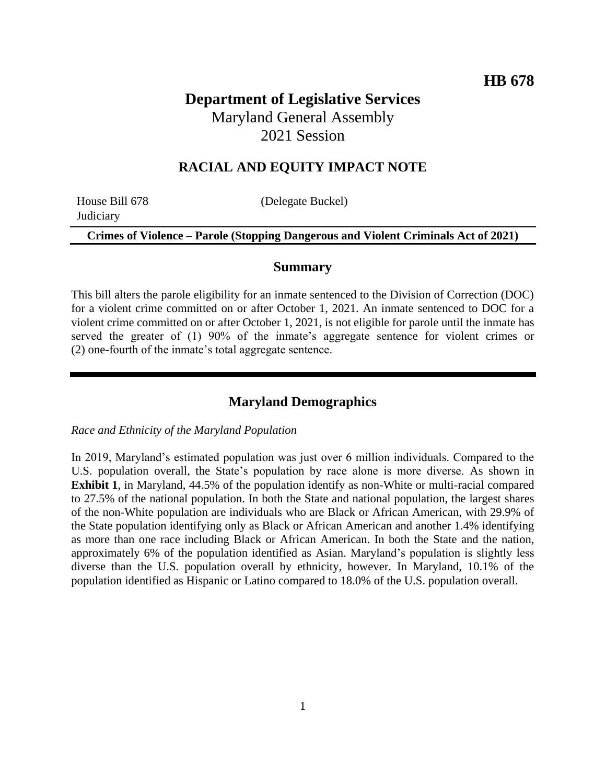# **Department of Legislative Services** Maryland General Assembly 2021 Session

# **RACIAL AND EQUITY IMPACT NOTE**

**Judiciary** 

House Bill 678 (Delegate Buckel)

**Crimes of Violence – Parole (Stopping Dangerous and Violent Criminals Act of 2021)**

#### **Summary**

This bill alters the parole eligibility for an inmate sentenced to the Division of Correction (DOC) for a violent crime committed on or after October 1, 2021. An inmate sentenced to DOC for a violent crime committed on or after October 1, 2021, is not eligible for parole until the inmate has served the greater of (1) 90% of the inmate's aggregate sentence for violent crimes or (2) one-fourth of the inmate's total aggregate sentence.

## **Maryland Demographics**

#### *Race and Ethnicity of the Maryland Population*

In 2019, Maryland's estimated population was just over 6 million individuals. Compared to the U.S. population overall, the State's population by race alone is more diverse. As shown in **Exhibit 1**, in Maryland, 44.5% of the population identify as non-White or multi-racial compared to 27.5% of the national population. In both the State and national population, the largest shares of the non-White population are individuals who are Black or African American, with 29.9% of the State population identifying only as Black or African American and another 1.4% identifying as more than one race including Black or African American. In both the State and the nation, approximately 6% of the population identified as Asian. Maryland's population is slightly less diverse than the U.S. population overall by ethnicity, however. In Maryland, 10.1% of the population identified as Hispanic or Latino compared to 18.0% of the U.S. population overall.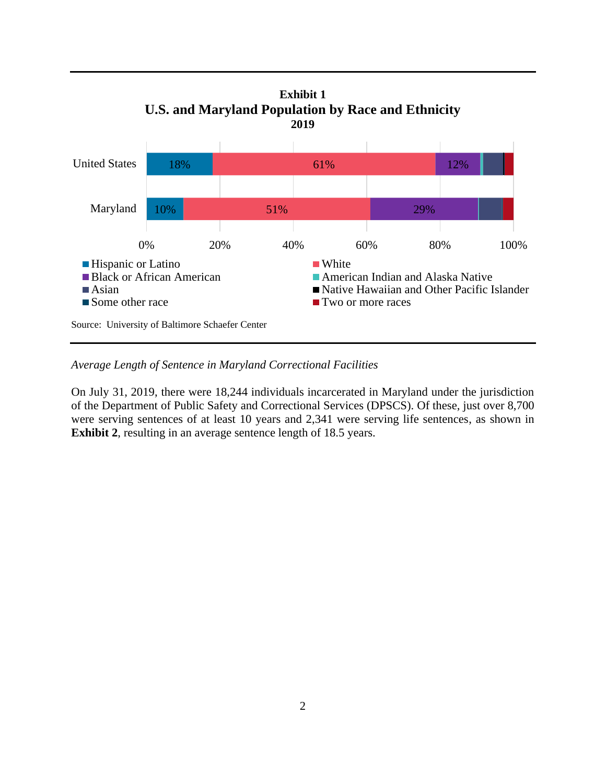

*Average Length of Sentence in Maryland Correctional Facilities*

On July 31, 2019, there were 18,244 individuals incarcerated in Maryland under the jurisdiction of the Department of Public Safety and Correctional Services (DPSCS). Of these, just over 8,700 were serving sentences of at least 10 years and 2,341 were serving life sentences, as shown in **Exhibit 2**, resulting in an average sentence length of 18.5 years.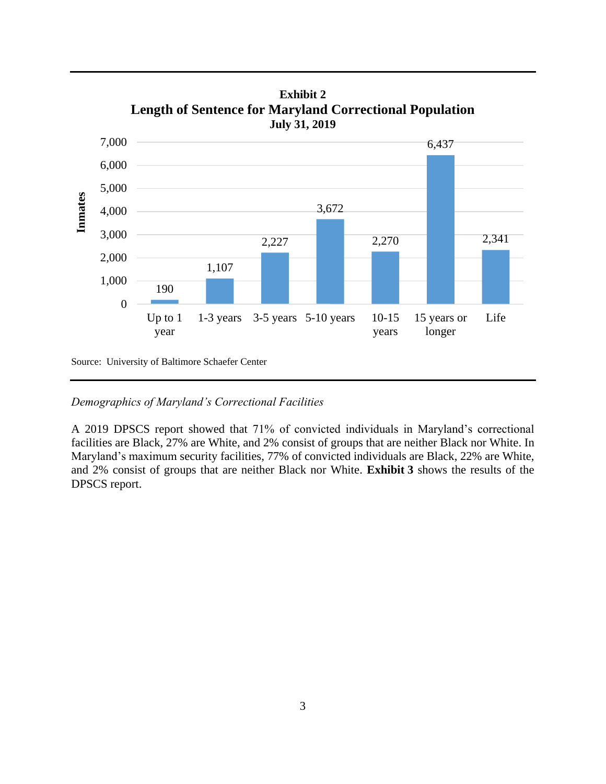

**Exhibit 2 Length of Sentence for Maryland Correctional Population**

Source: University of Baltimore Schaefer Center

*Demographics of Maryland's Correctional Facilities*

A 2019 DPSCS report showed that 71% of convicted individuals in Maryland's correctional facilities are Black, 27% are White, and 2% consist of groups that are neither Black nor White. In Maryland's maximum security facilities, 77% of convicted individuals are Black, 22% are White, and 2% consist of groups that are neither Black nor White. **Exhibit 3** shows the results of the DPSCS report.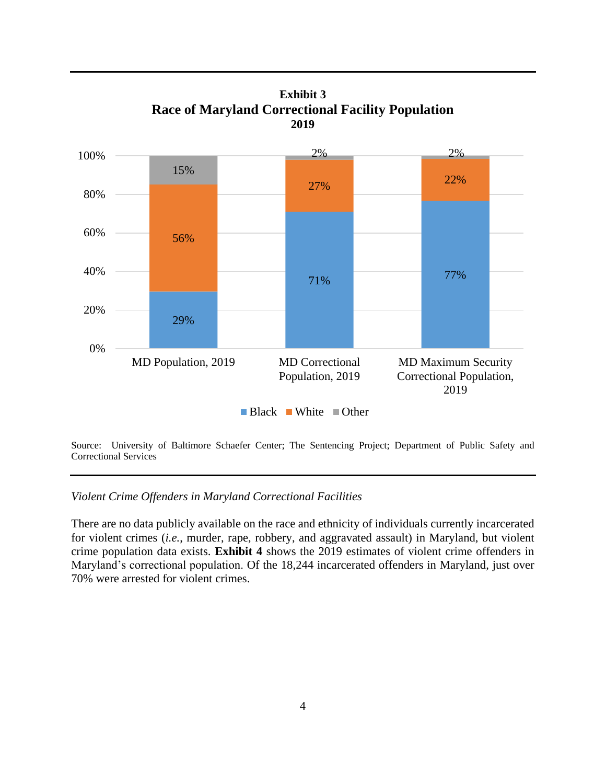

**Exhibit 3 Race of Maryland Correctional Facility Population 2019**

Source: University of Baltimore Schaefer Center; The Sentencing Project; Department of Public Safety and Correctional Services

#### *Violent Crime Offenders in Maryland Correctional Facilities*

There are no data publicly available on the race and ethnicity of individuals currently incarcerated for violent crimes (*i.e.*, murder, rape, robbery, and aggravated assault) in Maryland, but violent crime population data exists. **Exhibit 4** shows the 2019 estimates of violent crime offenders in Maryland's correctional population. Of the 18,244 incarcerated offenders in Maryland, just over 70% were arrested for violent crimes.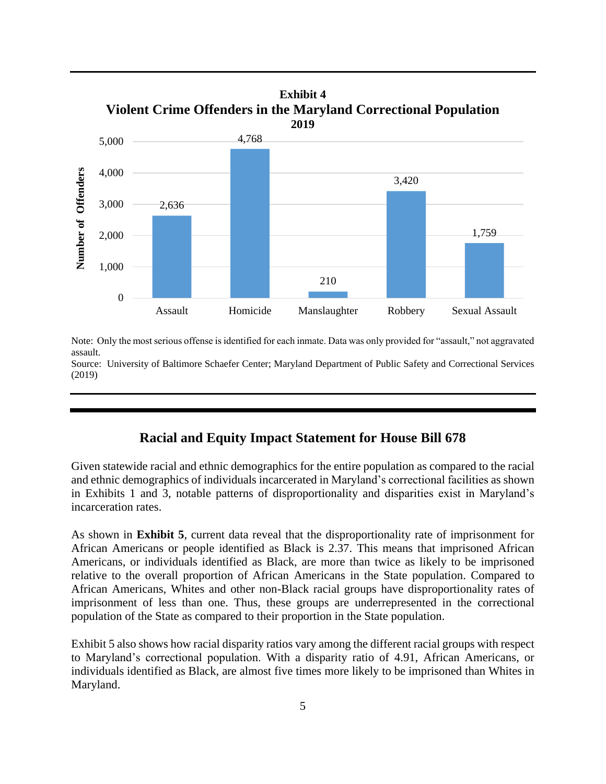

Note: Only the most serious offense is identified for each inmate. Data was only provided for "assault," not aggravated assault.

Source: University of Baltimore Schaefer Center; Maryland Department of Public Safety and Correctional Services (2019)

## **Racial and Equity Impact Statement for House Bill 678**

Given statewide racial and ethnic demographics for the entire population as compared to the racial and ethnic demographics of individuals incarcerated in Maryland's correctional facilities as shown in Exhibits 1 and 3, notable patterns of disproportionality and disparities exist in Maryland's incarceration rates.

As shown in **Exhibit 5**, current data reveal that the disproportionality rate of imprisonment for African Americans or people identified as Black is 2.37. This means that imprisoned African Americans, or individuals identified as Black, are more than twice as likely to be imprisoned relative to the overall proportion of African Americans in the State population. Compared to African Americans, Whites and other non-Black racial groups have disproportionality rates of imprisonment of less than one. Thus, these groups are underrepresented in the correctional population of the State as compared to their proportion in the State population.

Exhibit 5 also shows how racial disparity ratios vary among the different racial groups with respect to Maryland's correctional population. With a disparity ratio of 4.91, African Americans, or individuals identified as Black, are almost five times more likely to be imprisoned than Whites in Maryland.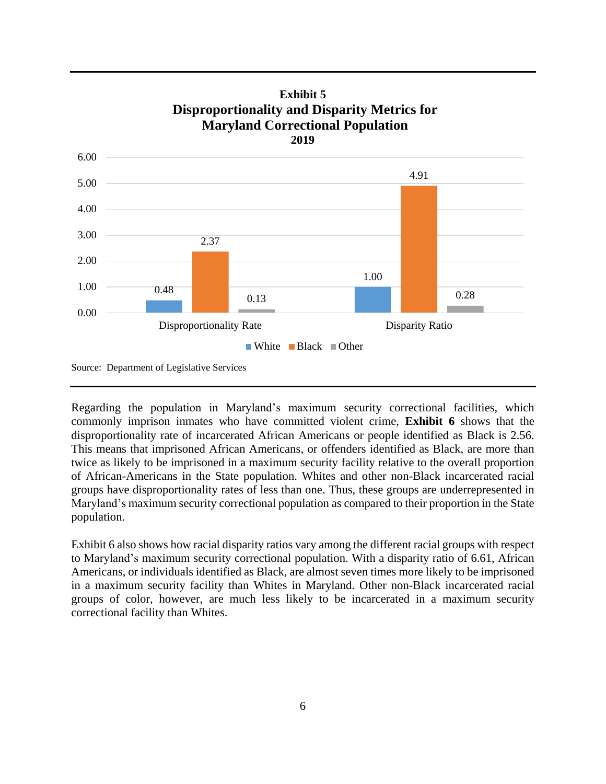

Regarding the population in Maryland's maximum security correctional facilities, which commonly imprison inmates who have committed violent crime, **Exhibit 6** shows that the disproportionality rate of incarcerated African Americans or people identified as Black is 2.56. This means that imprisoned African Americans, or offenders identified as Black, are more than twice as likely to be imprisoned in a maximum security facility relative to the overall proportion of African-Americans in the State population. Whites and other non-Black incarcerated racial groups have disproportionality rates of less than one. Thus, these groups are underrepresented in Maryland's maximum security correctional population as compared to their proportion in the State population.

Exhibit 6 also shows how racial disparity ratios vary among the different racial groups with respect to Maryland's maximum security correctional population. With a disparity ratio of 6.61, African Americans, or individuals identified as Black, are almost seven times more likely to be imprisoned in a maximum security facility than Whites in Maryland. Other non-Black incarcerated racial groups of color, however, are much less likely to be incarcerated in a maximum security correctional facility than Whites.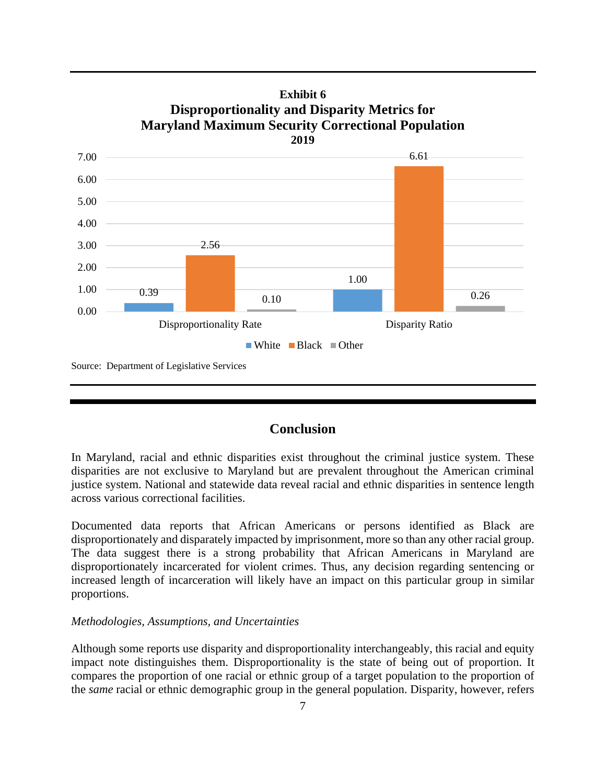

# **Exhibit 6**

# **Conclusion**

In Maryland, racial and ethnic disparities exist throughout the criminal justice system. These disparities are not exclusive to Maryland but are prevalent throughout the American criminal justice system. National and statewide data reveal racial and ethnic disparities in sentence length across various correctional facilities.

Documented data reports that African Americans or persons identified as Black are disproportionately and disparately impacted by imprisonment, more so than any other racial group. The data suggest there is a strong probability that African Americans in Maryland are disproportionately incarcerated for violent crimes. Thus, any decision regarding sentencing or increased length of incarceration will likely have an impact on this particular group in similar proportions.

#### *Methodologies, Assumptions, and Uncertainties*

Although some reports use disparity and disproportionality interchangeably, this racial and equity impact note distinguishes them. Disproportionality is the state of being out of proportion. It compares the proportion of one racial or ethnic group of a target population to the proportion of the *same* racial or ethnic demographic group in the general population. Disparity, however, refers